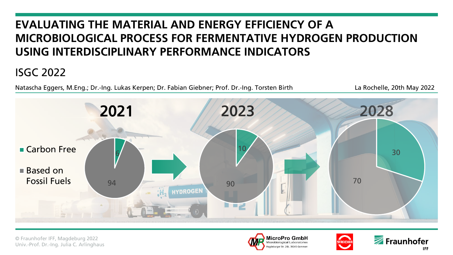#### **EVALUATING THE MATERIAL AND ENERGY EFFICIENCY OF A MICROBIOLOGICAL PROCESS FOR FERMENTATIVE HYDROGEN PRODUCTION USING INTERDISCIPLINARY PERFORMANCE INDICATORS**

#### ISGC 2022



Natascha Eggers, M.Eng.; Dr.-Ing. Lukas Kerpen; Dr. Fabian Giebner; Prof. Dr.-Ing. Torsten Birth La Rochelle, 20th May 2022



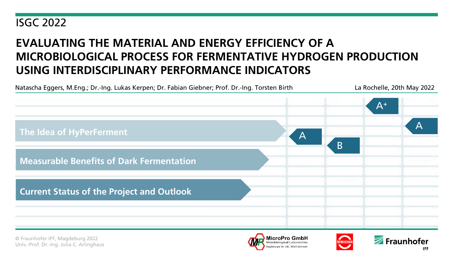#### ISGC 2022

#### **EVALUATING THE MATERIAL AND ENERGY EFFICIENCY OF A MICROBIOLOGICAL PROCESS FOR FERMENTATIVE HYDROGEN PRODUCTION USING INTERDISCIPLINARY PERFORMANCE INDICATORS**



© Fraunhofer IFF, Magdeburg 2022 Univ.-Prof. Dr.-Ing. Julia C. Arlinghaus





**Eraunhofer** 

IFF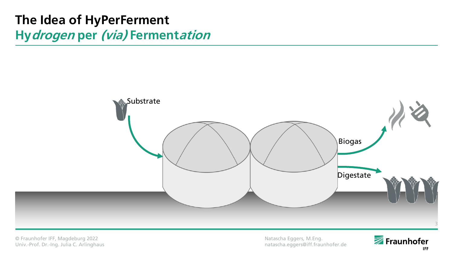# **The Idea of HyPerFerment Hydrogen per (via) Fermentation**



© Fraunhofer IFF, Magdeburg 2022 Univ.-Prof. Dr.-Ing. Julia C. Arlinghaus Natascha Eggers, M.Eng. natascha.eggers@iff.fraunhofer.de



3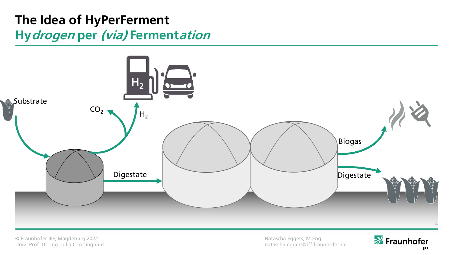## **The Idea of HyPerFerment Hydrogen per (via) Fermentation**



© Fraunhofer IFF, Magdeburg 2022 Univ.-Prof. Dr.-Ing. Julia C. Arlinghaus

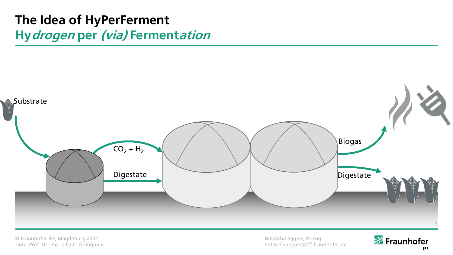# **The Idea of HyPerFerment Hydrogen per (via) Fermentation**



© Fraunhofer IFF, Magdeburg 2022 Univ.-Prof. Dr.-Ing. Julia C. Arlinghaus

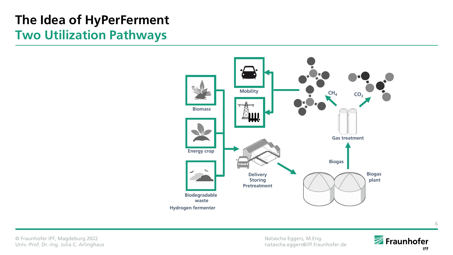### **The Idea of HyPerFerment Two Utilization Pathways**



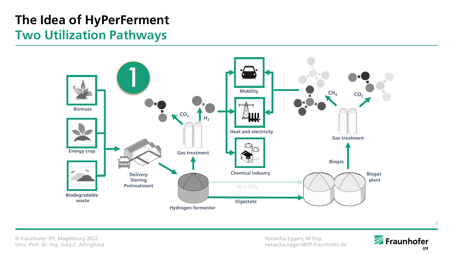### **The Idea of HyPerFerment Two Utilization Pathways**



© Fraunhofer IFF, Magdeburg 2022 Univ.-Prof. Dr.-Ing. Julia C. Arlinghaus

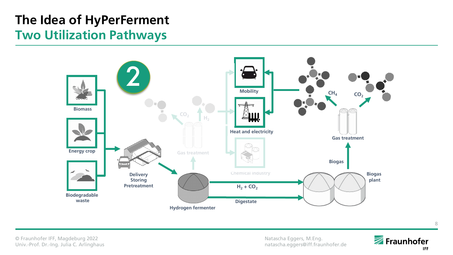### **The Idea of HyPerFerment Two Utilization Pathways**



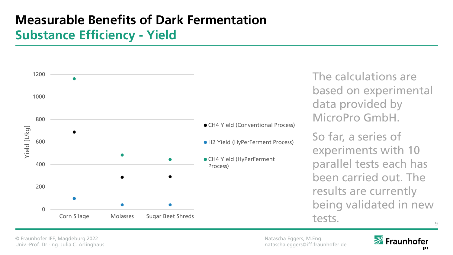# **Measurable Benefits of Dark Fermentation Substance Efficiency - Yield**



The calculations are based on experimental data provided by MicroPro GmbH.

9 So far, a series of experiments with 10 parallel tests each has been carried out. The results are currently being validated in new tests.

© Fraunhofer IFF, Magdeburg 2022 Univ.-Prof. Dr.-Ing. Julia C. Arlinghaus

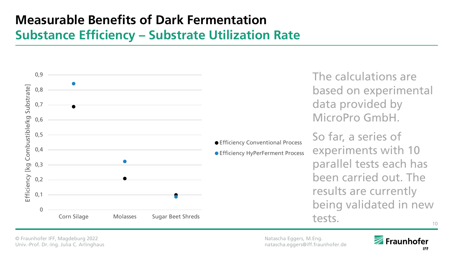# **Measurable Benefits of Dark Fermentation Substance Efficiency – Substrate Utilization Rate**



The calculations are based on experimental data provided by MicroPro GmbH.

**Efficiency Conventional Process • Efficiency HyPerFerment Process** 

So far, a series of experiments with 10 parallel tests each has been carried out. The results are currently being validated in new tests.

© Fraunhofer IFF, Magdeburg 2022 Univ.-Prof. Dr.-Ing. Julia C. Arlinghaus

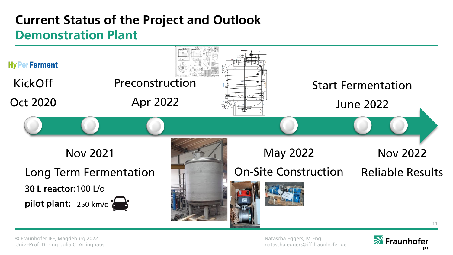# **Current Status of the Project and Outlook Demonstration Plant**



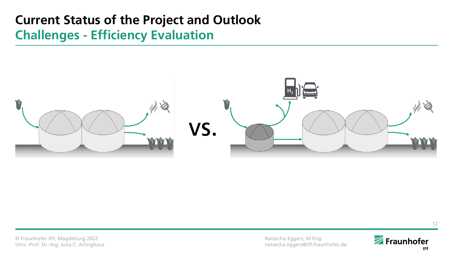### **Current Status of the Project and Outlook Challenges - Efficiency Evaluation**



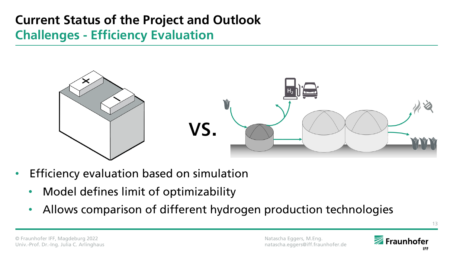# **Current Status of the Project and Outlook Challenges - Efficiency Evaluation**



- Efficiency evaluation based on simulation
	- Model defines limit of optimizability
	- Allows comparison of different hydrogen production technologies

13

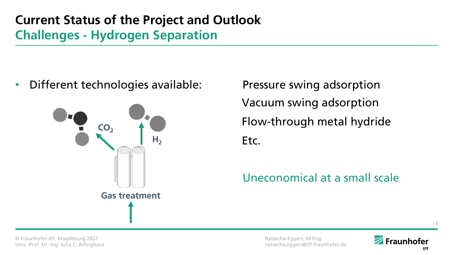# **Current Status of the Project and Outlook Challenges - Hydrogen Separation**

• Different technologies available: Pressure swing adsorption



Vacuum swing adsorption Flow-through metal hydride Etc.

#### Uneconomical at a small scale